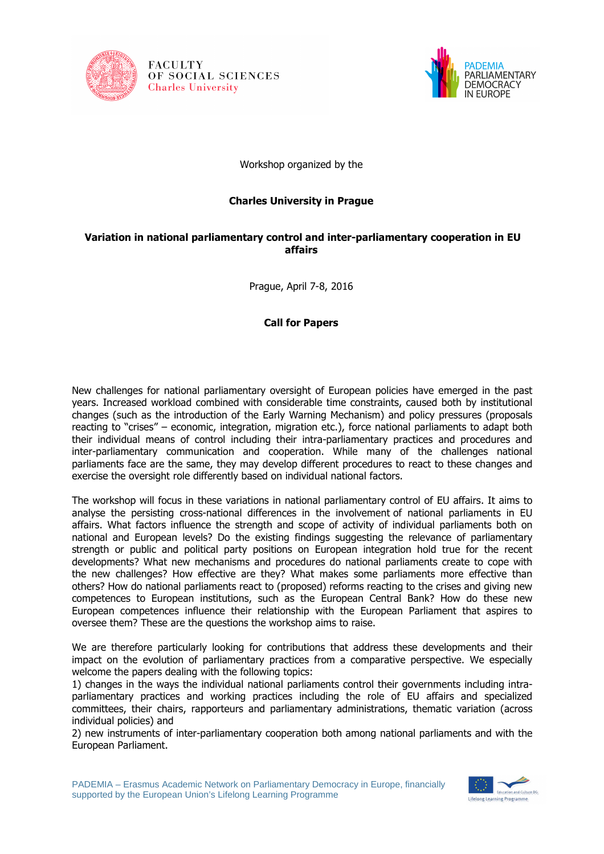





Workshop organized by the

## **Charles University in Prague**

## **Variation in national parliamentary control and inter-parliamentary cooperation in EU affairs**

Prague, April 7-8, 2016

## **Call for Papers**

New challenges for national parliamentary oversight of European policies have emerged in the past years. Increased workload combined with considerable time constraints, caused both by institutional changes (such as the introduction of the Early Warning Mechanism) and policy pressures (proposals reacting to "crises" – economic, integration, migration etc.), force national parliaments to adapt both their individual means of control including their intra-parliamentary practices and procedures and inter-parliamentary communication and cooperation. While many of the challenges national parliaments face are the same, they may develop different procedures to react to these changes and exercise the oversight role differently based on individual national factors.

The workshop will focus in these variations in national parliamentary control of EU affairs. It aims to analyse the persisting cross-national differences in the involvement of national parliaments in EU affairs. What factors influence the strength and scope of activity of individual parliaments both on national and European levels? Do the existing findings suggesting the relevance of parliamentary strength or public and political party positions on European integration hold true for the recent developments? What new mechanisms and procedures do national parliaments create to cope with the new challenges? How effective are they? What makes some parliaments more effective than others? How do national parliaments react to (proposed) reforms reacting to the crises and giving new competences to European institutions, such as the European Central Bank? How do these new European competences influence their relationship with the European Parliament that aspires to oversee them? These are the questions the workshop aims to raise.

We are therefore particularly looking for contributions that address these developments and their impact on the evolution of parliamentary practices from a comparative perspective. We especially welcome the papers dealing with the following topics:

1) changes in the ways the individual national parliaments control their governments including intraparliamentary practices and working practices including the role of EU affairs and specialized committees, their chairs, rapporteurs and parliamentary administrations, thematic variation (across individual policies) and

2) new instruments of inter-parliamentary cooperation both among national parliaments and with the European Parliament.

PADEMIA – Erasmus Academic Network on Parliamentary Democracy in Europe, financially supported by the European Union's Lifelong Learning Programme